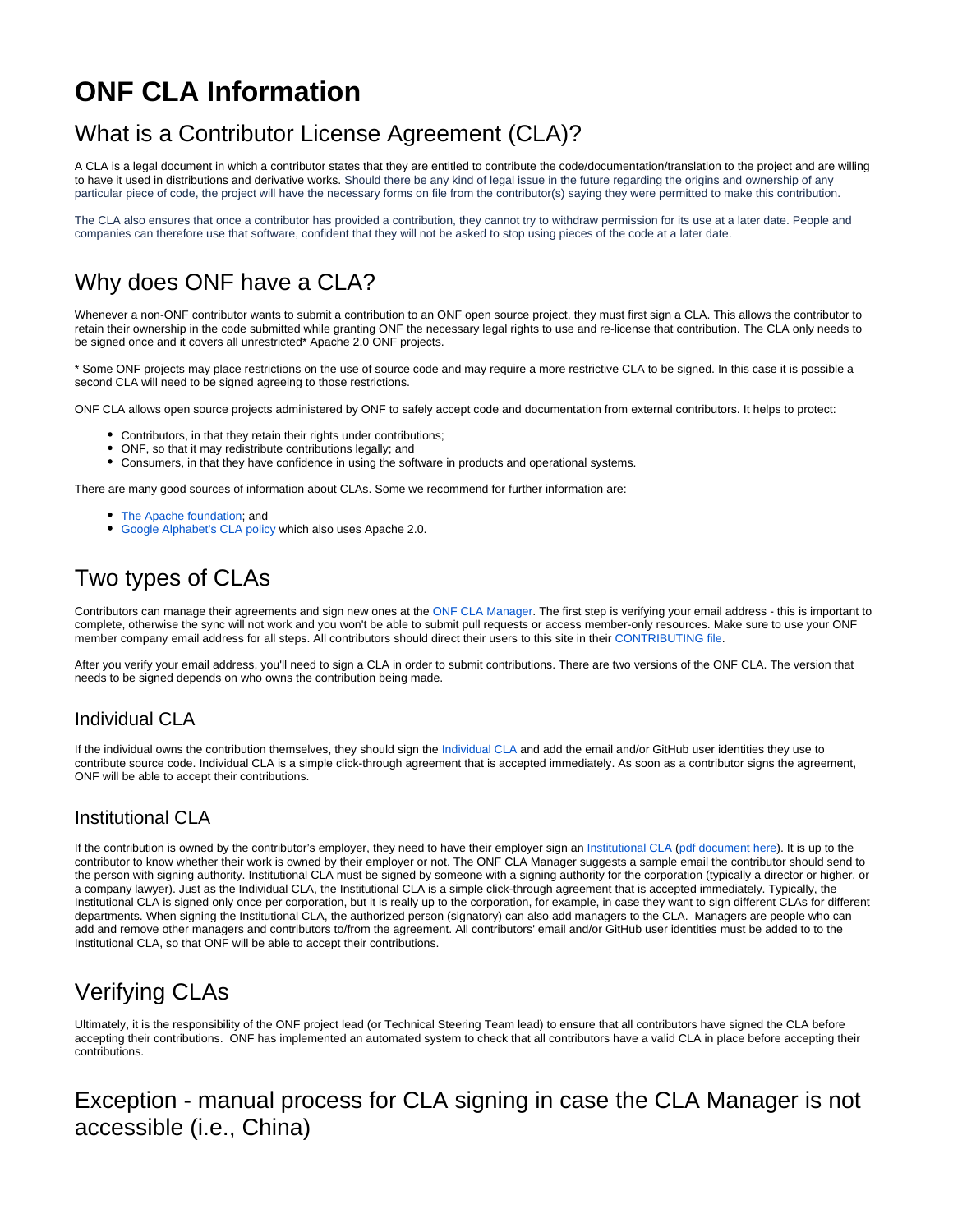# **ONF CLA Information**

## What is a Contributor License Agreement (CLA)?

A CLA is a legal document in which a contributor states that they are entitled to contribute the code/documentation/translation to the project and are willing to have it used in distributions and derivative works. Should there be any kind of legal issue in the future regarding the origins and ownership of any particular piece of code, the project will have the necessary forms on file from the contributor(s) saying they were permitted to make this contribution.

The CLA also ensures that once a contributor has provided a contribution, they cannot try to withdraw permission for its use at a later date. People and companies can therefore use that software, confident that they will not be asked to stop using pieces of the code at a later date.

## Why does ONF have a CLA?

Whenever a non-ONF contributor wants to submit a contribution to an ONF open source project, they must first sign a CLA. This allows the contributor to retain their ownership in the code submitted while granting ONF the necessary legal rights to use and re-license that contribution. The CLA only needs to be signed once and it covers all unrestricted\* Apache 2.0 ONF projects.

\* Some ONF projects may place restrictions on the use of source code and may require a more restrictive CLA to be signed. In this case it is possible a second CLA will need to be signed agreeing to those restrictions.

ONF CLA allows open source projects administered by ONF to safely accept code and documentation from external contributors. It helps to protect:

- Contributors, in that they retain their rights under contributions;
- ONF, so that it may redistribute contributions legally; and
- Consumers, in that they have confidence in using the software in products and operational systems.

There are many good sources of information about CLAs. Some we recommend for further information are:

- [The Apache foundation;](https://www.apache.org/licenses/contributor-agreements.html) and
- [Google Alphabet's CLA policy](https://opensource.google/docs/cla/policy/) which also uses Apache 2.0.

## Two types of CLAs

Contributors can manage their agreements and sign new ones at the [ONF CLA Manager](https://cla.opennetworking.org/). The first step is verifying your email address - this is important to complete, otherwise the sync will not work and you won't be able to submit pull requests or access member-only resources. Make sure to use your ONF member company email address for all steps. All contributors should direct their users to this site in their [CONTRIBUTING file.](https://opensource.google/docs/releasing/preparing/#CONTRIBUTING)

After you verify your email address, you'll need to sign a CLA in order to submit contributions. There are two versions of the ONF CLA. The version that needs to be signed depends on who owns the contribution being made.

### <span id="page-0-0"></span>Individual CLA

If the individual owns the contribution themselves, they should sign the [Individual CLA](https://github.com/OpenNetworkingFoundation/cla-manager/blob/master/client/public/assets/cla/default/individual.md) and add the email and/or GitHub user identities they use to contribute source code. Individual CLA is a simple click-through agreement that is accepted immediately. As soon as a contributor signs the agreement, ONF will be able to accept their contributions.

### <span id="page-0-1"></span>Institutional CLA

If the contribution is owned by the contributor's employer, they need to have their employer sign an [Institutional CLA](https://github.com/OpenNetworkingFoundation/cla-manager/blob/master/client/public/assets/cla/default/institutional.md) ([pdf document here](https://opennetworking.org/wp-content/uploads/2020/09/ONF-Institutional-CLA-2020.pdf)). It is up to the contributor to know whether their work is owned by their employer or not. The ONF CLA Manager suggests a sample email the contributor should send to the person with signing authority. Institutional CLA must be signed by someone with a signing authority for the corporation (typically a director or higher, or a company lawyer). Just as the Individual CLA, the Institutional CLA is a simple click-through agreement that is accepted immediately. Typically, the Institutional CLA is signed only once per corporation, but it is really up to the corporation, for example, in case they want to sign different CLAs for different departments. When signing the Institutional CLA, the authorized person (signatory) can also add managers to the CLA. Managers are people who can add and remove other managers and contributors to/from the agreement. All contributors' email and/or GitHub user identities must be added to to the Institutional CLA, so that ONF will be able to accept their contributions.

### Verifying CLAs

Ultimately, it is the responsibility of the ONF project lead (or Technical Steering Team lead) to ensure that all contributors have signed the CLA before accepting their contributions. ONF has implemented an automated system to check that all contributors have a valid CLA in place before accepting their contributions.

## Exception - manual process for CLA signing in case the CLA Manager is not accessible (i.e., China)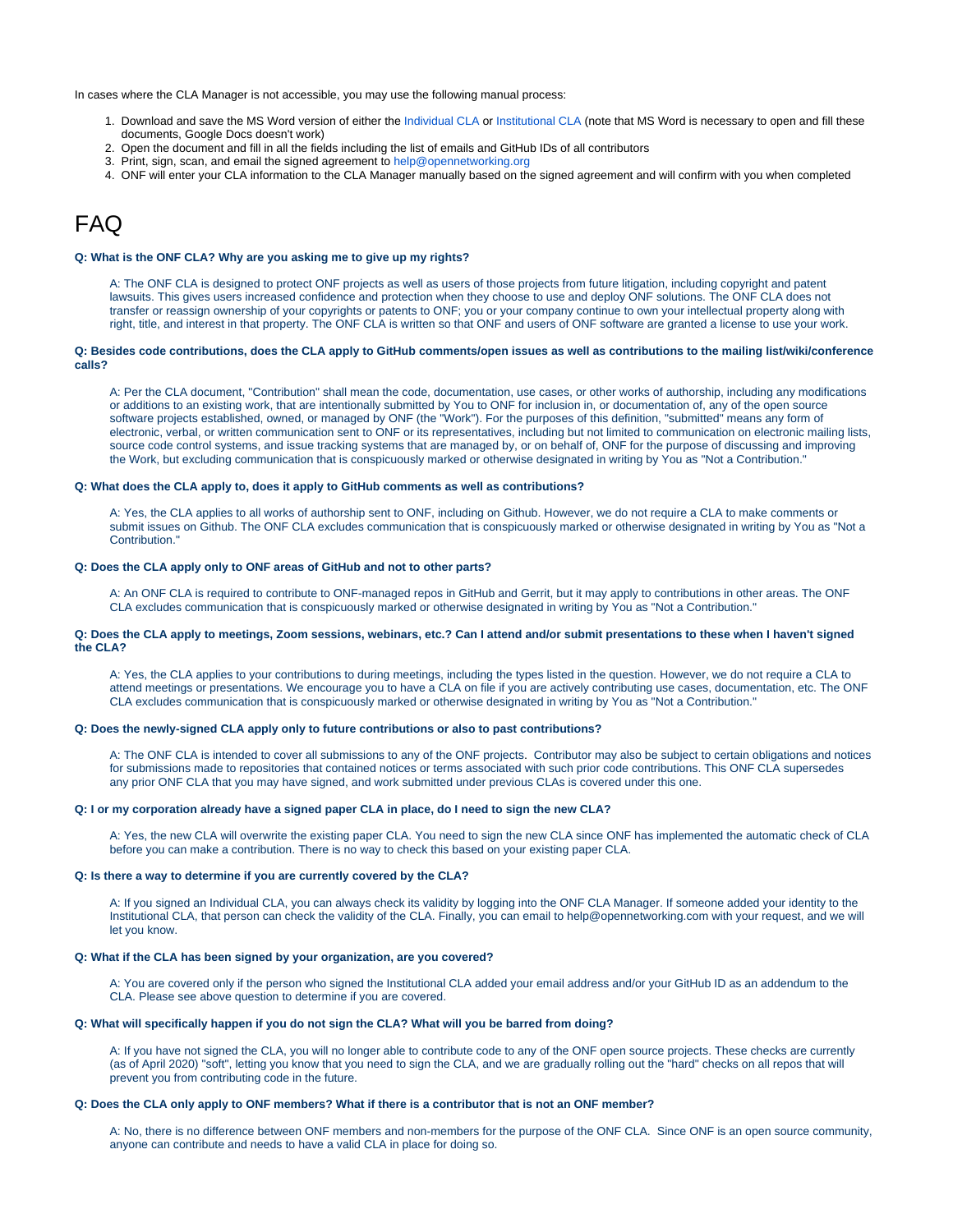In cases where the CLA Manager is not accessible, you may use the following manual process:

- 1. Download and save the MS Word version of either the [Individual CLA](https://drive.google.com/file/d/1lrPJ6N6WBOlRIT1HmfxXkKJef2Dkdipd/view?usp=sharing) or [Institutional CLA](https://drive.google.com/file/d/1iKGAtqvy0VFlkUgJ884rb3myrDsXDIjq/view?usp=sharing) (note that MS Word is necessary to open and fill these documents, Google Docs doesn't work)
- 2. Open the document and fill in all the fields including the list of emails and GitHub IDs of all contributors
- 3. Print, sign, scan, and email the signed agreement to [help@opennetworking.org](mailto:help@opennetworking.org)
- 4. ONF will enter your CLA information to the CLA Manager manually based on the signed agreement and will confirm with you when completed

### FAQ

#### **Q: What is the ONF CLA? Why are you asking me to give up my rights?**

A: The ONF CLA is designed to protect ONF projects as well as users of those projects from future litigation, including copyright and patent lawsuits. This gives users increased confidence and protection when they choose to use and deploy ONF solutions. The ONF CLA does not transfer or reassign ownership of your copyrights or patents to ONF; you or your company continue to own your intellectual property along with right, title, and interest in that property. The ONF CLA is written so that ONF and users of ONF software are granted a license to use your work.

#### **Q: Besides code contributions, does the CLA apply to GitHub comments/open issues as well as contributions to the mailing list/wiki/conference calls?**

A: Per the CLA document, "Contribution" shall mean the code, documentation, use cases, or other works of authorship, including any modifications or additions to an existing work, that are intentionally submitted by You to ONF for inclusion in, or documentation of, any of the open source software projects established, owned, or managed by ONF (the "Work"). For the purposes of this definition, "submitted" means any form of electronic, verbal, or written communication sent to ONF or its representatives, including but not limited to communication on electronic mailing lists, source code control systems, and issue tracking systems that are managed by, or on behalf of, ONF for the purpose of discussing and improving the Work, but excluding communication that is conspicuously marked or otherwise designated in writing by You as "Not a Contribution."

#### **Q: What does the CLA apply to, does it apply to GitHub comments as well as contributions?**

A: Yes, the CLA applies to all works of authorship sent to ONF, including on Github. However, we do not require a CLA to make comments or submit issues on Github. The ONF CLA excludes communication that is conspicuously marked or otherwise designated in writing by You as "Not a Contribution."

#### **Q: Does the CLA apply only to ONF areas of GitHub and not to other parts?**

A: An ONF CLA is required to contribute to ONF-managed repos in GitHub and Gerrit, but it may apply to contributions in other areas. The ONF CLA excludes communication that is conspicuously marked or otherwise designated in writing by You as "Not a Contribution."

#### **Q: Does the CLA apply to meetings, Zoom sessions, webinars, etc.? Can I attend and/or submit presentations to these when I haven't signed the CLA?**

A: Yes, the CLA applies to your contributions to during meetings, including the types listed in the question. However, we do not require a CLA to attend meetings or presentations. We encourage you to have a CLA on file if you are actively contributing use cases, documentation, etc. The ONF CLA excludes communication that is conspicuously marked or otherwise designated in writing by You as "Not a Contribution."

#### **Q: Does the newly-signed CLA apply only to future contributions or also to past contributions?**

A: The ONF CLA is intended to cover all submissions to any of the ONF projects. Contributor may also be subject to certain obligations and notices for submissions made to repositories that contained notices or terms associated with such prior code contributions. This ONF CLA supersedes any prior ONF CLA that you may have signed, and work submitted under previous CLAs is covered under this one.

#### **Q: I or my corporation already have a signed paper CLA in place, do I need to sign the new CLA?**

A: Yes, the new CLA will overwrite the existing paper CLA. You need to sign the new CLA since ONF has implemented the automatic check of CLA before you can make a contribution. There is no way to check this based on your existing paper CLA.

#### **Q: Is there a way to determine if you are currently covered by the CLA?**

A: If you signed an Individual CLA, you can always check its validity by logging into the ONF CLA Manager. If someone added your identity to the Institutional CLA, that person can check the validity of the CLA. Finally, you can email to [help@opennetworking.com](mailto:help@opennetworking.com) with your request, and we will let you know.

#### **Q: What if the CLA has been signed by your organization, are you covered?**

A: You are covered only if the person who signed the Institutional CLA added your email address and/or your GitHub ID as an addendum to the CLA. Please see above question to determine if you are covered.

#### **Q: What will specifically happen if you do not sign the CLA? What will you be barred from doing?**

A: If you have not signed the CLA, you will no longer able to contribute code to any of the ONF open source projects. These checks are currently (as of April 2020) "soft", letting you know that you need to sign the CLA, and we are gradually rolling out the "hard" checks on all repos that will prevent you from contributing code in the future.

#### **Q: Does the CLA only apply to ONF members? What if there is a contributor that is not an ONF member?**

A: No, there is no difference between ONF members and non-members for the purpose of the ONF CLA. Since ONF is an open source community, anyone can contribute and needs to have a valid CLA in place for doing so.